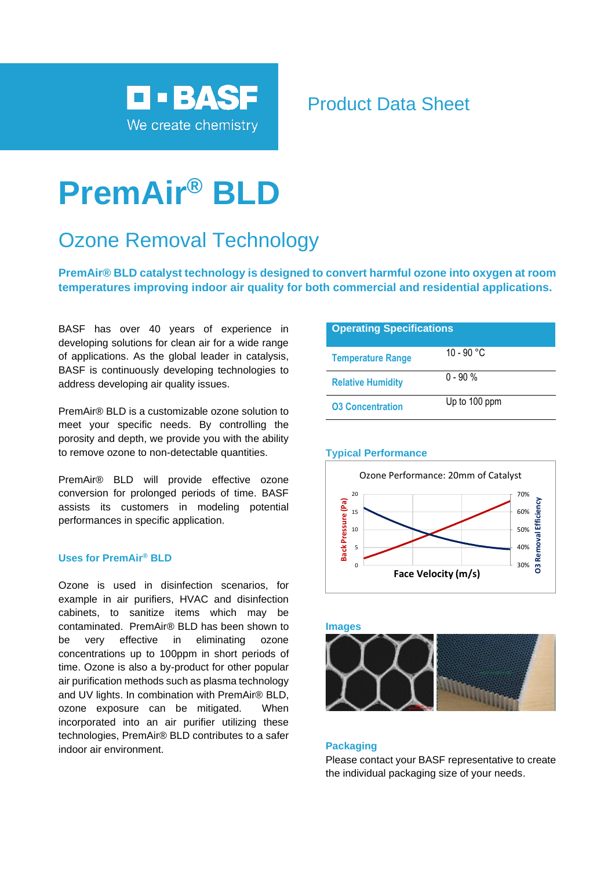

# Product Data Sheet

# **PremAir® BLD**

# Ozone Removal Technology

**PremAir® BLD catalyst technology is designed to convert harmful ozone into oxygen at room temperatures improving indoor air quality for both commercial and residential applications.**

BASF has over 40 years of experience in developing solutions for clean air for a wide range of applications. As the global leader in catalysis, BASF is continuously developing technologies to address developing air quality issues.

PremAir® BLD is a customizable ozone solution to meet your specific needs. By controlling the porosity and depth, we provide you with the ability to remove ozone to non-detectable quantities.

PremAir® BLD will provide effective ozone conversion for prolonged periods of time. BASF assists its customers in modeling potential performances in specific application.

# **Uses for PremAir® BLD**

Ozone is used in disinfection scenarios, for example in air purifiers, HVAC and disinfection cabinets, to sanitize items which may be contaminated. PremAir® BLD has been shown to be very effective in eliminating ozone concentrations up to 100ppm in short periods of time. Ozone is also a by-product for other popular air purification methods such as plasma technology and UV lights. In combination with PremAir® BLD, ozone exposure can be mitigated. When incorporated into an air purifier utilizing these technologies, PremAir® BLD contributes to a safer indoor air environment.

| <b>Operating Specifications</b> |               |
|---------------------------------|---------------|
| <b>Temperature Range</b>        | 10 - 90 °C    |
| <b>Relative Humidity</b>        | $0 - 90 %$    |
| <b>03 Concentration</b>         | Up to 100 ppm |

## **Typical Performance**





### **Packaging**

Please contact your BASF representative to create the individual packaging size of your needs.